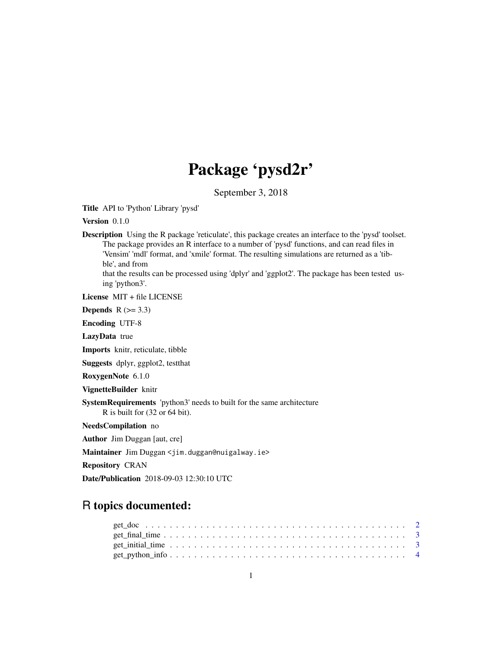# Package 'pysd2r'

September 3, 2018

Title API to 'Python' Library 'pysd'

Version 0.1.0

Description Using the R package 'reticulate', this package creates an interface to the 'pysd' toolset. The package provides an R interface to a number of 'pysd' functions, and can read files in 'Vensim' 'mdl' format, and 'xmile' format. The resulting simulations are returned as a 'tibble', and from

that the results can be processed using 'dplyr' and 'ggplot2'. The package has been tested using 'python3'.

License MIT + file LICENSE

Depends  $R$  ( $>= 3.3$ )

Encoding UTF-8

LazyData true

Imports knitr, reticulate, tibble

Suggests dplyr, ggplot2, testthat

RoxygenNote 6.1.0

VignetteBuilder knitr

SystemRequirements 'python3' needs to built for the same architecture R is built for (32 or 64 bit).

NeedsCompilation no

Author Jim Duggan [aut, cre]

Maintainer Jim Duggan <jim.duggan@nuigalway.ie>

Repository CRAN

Date/Publication 2018-09-03 12:30:10 UTC

# R topics documented: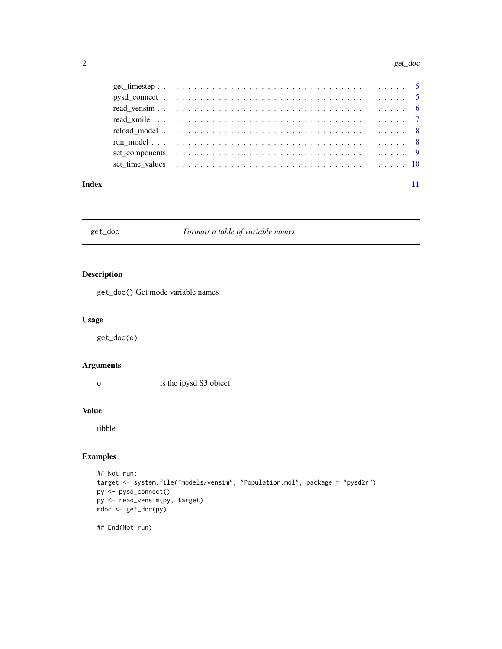#### <span id="page-1-0"></span>2 get\_doc

| Index |  |
|-------|--|

# get\_doc *Formats a table of variable names*

# Description

get\_doc() Get mode variable names

# Usage

get\_doc(o)

# Arguments

o is the ipysd S3 object

#### Value

tibble

# Examples

```
## Not run:
target <- system.file("models/vensim", "Population.mdl", package = "pysd2r")
py <- pysd_connect()
py <- read_vensim(py, target)
mdoc <- get_doc(py)
## End(Not run)
```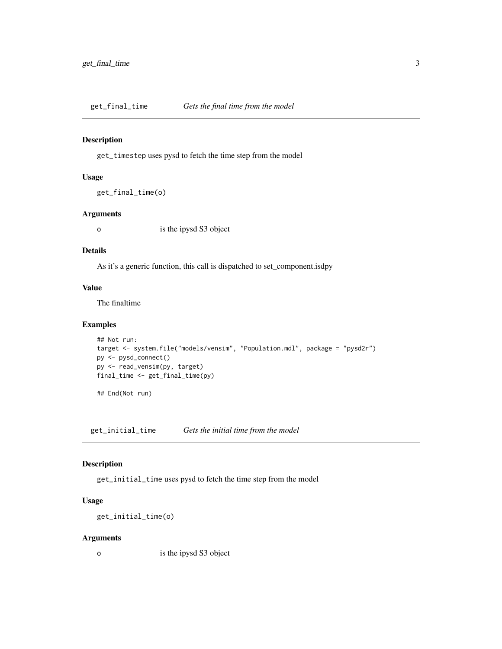<span id="page-2-0"></span>get\_final\_time *Gets the final time from the model*

### Description

get\_timestep uses pysd to fetch the time step from the model

#### Usage

get\_final\_time(o)

#### Arguments

o is the ipysd S3 object

# Details

As it's a generic function, this call is dispatched to set\_component.isdpy

#### Value

The finaltime

# Examples

```
## Not run:
target <- system.file("models/vensim", "Population.mdl", package = "pysd2r")
py <- pysd_connect()
py <- read_vensim(py, target)
final_time <- get_final_time(py)
## End(Not run)
```
get\_initial\_time *Gets the initial time from the model*

# Description

get\_initial\_time uses pysd to fetch the time step from the model

# Usage

```
get_initial_time(o)
```
#### Arguments

o is the ipysd S3 object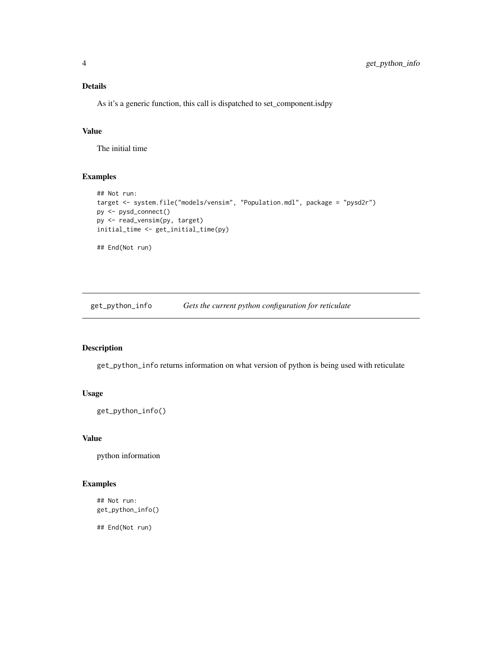# <span id="page-3-0"></span>Details

As it's a generic function, this call is dispatched to set\_component.isdpy

# Value

The initial time

# Examples

```
## Not run:
target <- system.file("models/vensim", "Population.mdl", package = "pysd2r")
py <- pysd_connect()
py <- read_vensim(py, target)
initial_time <- get_initial_time(py)
## End(Not run)
```
get\_python\_info *Gets the current python configuration for reticulate*

#### Description

get\_python\_info returns information on what version of python is being used with reticulate

# Usage

get\_python\_info()

# Value

python information

# Examples

## Not run: get\_python\_info()

## End(Not run)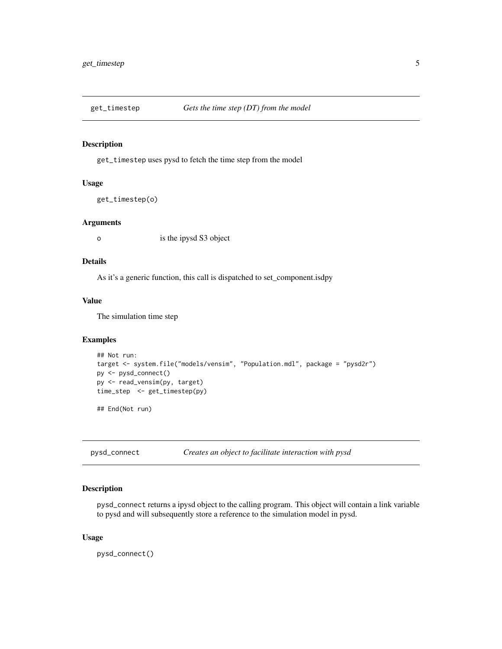<span id="page-4-0"></span>

# Description

get\_timestep uses pysd to fetch the time step from the model

#### Usage

get\_timestep(o)

#### Arguments

o is the ipysd S3 object

### Details

As it's a generic function, this call is dispatched to set\_component.isdpy

# Value

The simulation time step

# Examples

```
## Not run:
target <- system.file("models/vensim", "Population.mdl", package = "pysd2r")
py <- pysd_connect()
py <- read_vensim(py, target)
time_step <- get_timestep(py)
```
## End(Not run)

pysd\_connect *Creates an object to facilitate interaction with pysd*

#### Description

pysd\_connect returns a ipysd object to the calling program. This object will contain a link variable to pysd and will subsequently store a reference to the simulation model in pysd.

#### Usage

pysd\_connect()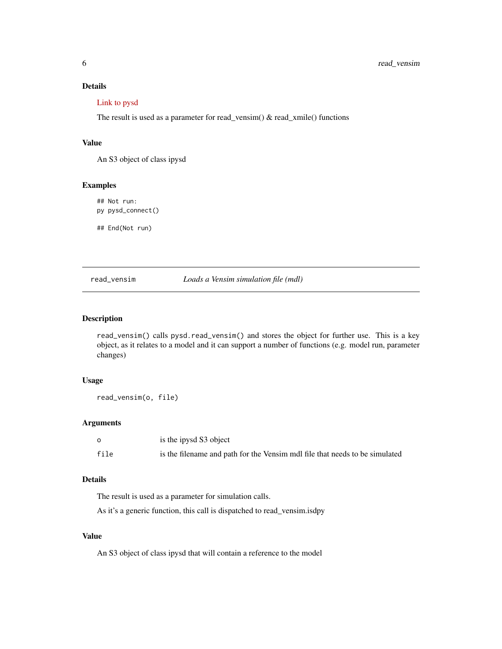# <span id="page-5-0"></span>Details

#### [Link to pysd](https://pysd.readthedocs.io/en/master/)

The result is used as a parameter for read\_vensim() & read\_xmile() functions

#### Value

An S3 object of class ipysd

# Examples

## Not run: py pysd\_connect() ## End(Not run)

read\_vensim *Loads a Vensim simulation file (mdl)*

# Description

read\_vensim() calls pysd.read\_vensim() and stores the object for further use. This is a key object, as it relates to a model and it can support a number of functions (e.g. model run, parameter changes)

#### Usage

```
read_vensim(o, file)
```
#### Arguments

|      | is the ipysd S3 object                                                      |
|------|-----------------------------------------------------------------------------|
| file | is the filename and path for the Vensim mdl file that needs to be simulated |

#### Details

The result is used as a parameter for simulation calls.

As it's a generic function, this call is dispatched to read\_vensim.isdpy

# Value

An S3 object of class ipysd that will contain a reference to the model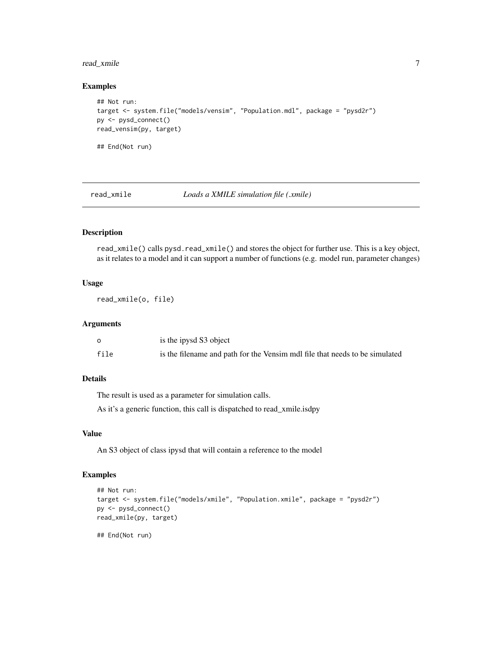# <span id="page-6-0"></span>read\_xmile 7

#### Examples

```
## Not run:
target <- system.file("models/vensim", "Population.mdl", package = "pysd2r")
py <- pysd_connect()
read_vensim(py, target)
## End(Not run)
```
read\_xmile *Loads a XMILE simulation file (.xmile)*

# Description

read\_xmile() calls pysd.read\_xmile() and stores the object for further use. This is a key object, as it relates to a model and it can support a number of functions (e.g. model run, parameter changes)

# Usage

read\_xmile(o, file)

# Arguments

|      | is the ipysd S3 object                                                      |
|------|-----------------------------------------------------------------------------|
| file | is the filename and path for the Vensim mdl file that needs to be simulated |

# Details

The result is used as a parameter for simulation calls.

As it's a generic function, this call is dispatched to read\_xmile.isdpy

# Value

An S3 object of class ipysd that will contain a reference to the model

# Examples

```
## Not run:
target <- system.file("models/xmile", "Population.xmile", package = "pysd2r")
py <- pysd_connect()
read_xmile(py, target)
## End(Not run)
```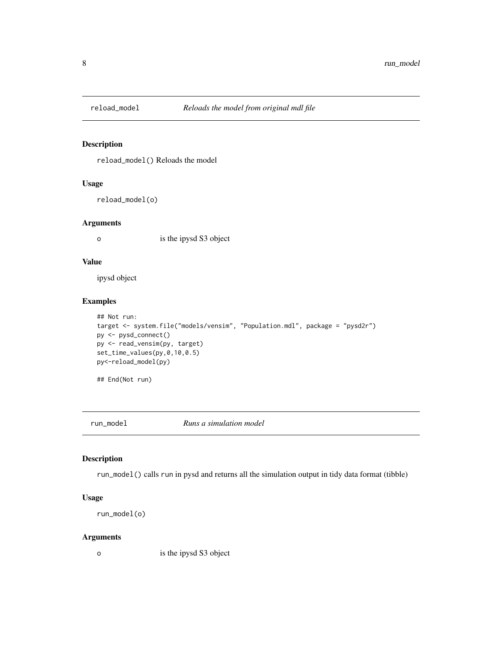<span id="page-7-0"></span>

# Description

reload\_model() Reloads the model

#### Usage

reload\_model(o)

#### Arguments

o is the ipysd S3 object

### Value

ipysd object

# Examples

```
## Not run:
target <- system.file("models/vensim", "Population.mdl", package = "pysd2r")
py <- pysd_connect()
py <- read_vensim(py, target)
set_time_values(py,0,10,0.5)
py<-reload_model(py)
```
## End(Not run)

run\_model *Runs a simulation model*

# Description

run\_model() calls run in pysd and returns all the simulation output in tidy data format (tibble)

#### Usage

```
run_model(o)
```
#### Arguments

o is the ipysd S3 object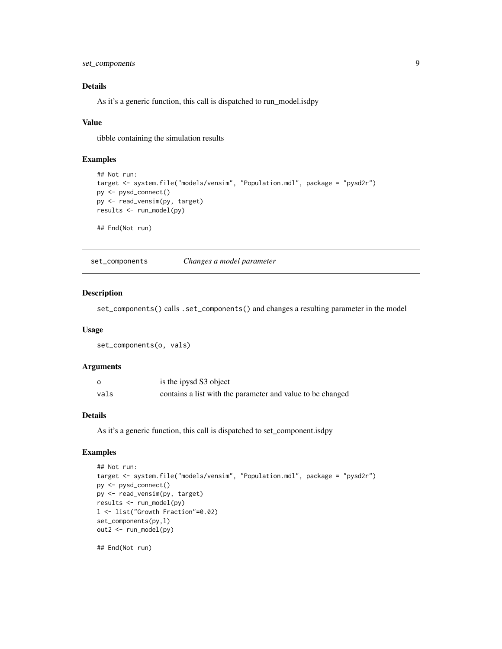<span id="page-8-0"></span>set\_components 9

# Details

As it's a generic function, this call is dispatched to run\_model.isdpy

#### Value

tibble containing the simulation results

#### Examples

```
## Not run:
target <- system.file("models/vensim", "Population.mdl", package = "pysd2r")
py <- pysd_connect()
py <- read_vensim(py, target)
results <- run_model(py)
## End(Not run)
```
set\_components *Changes a model parameter*

# Description

set\_components() calls .set\_components() and changes a resulting parameter in the model

#### Usage

set\_components(o, vals)

#### Arguments

| റ    | is the ipysd S3 object                                     |
|------|------------------------------------------------------------|
| vals | contains a list with the parameter and value to be changed |

# Details

As it's a generic function, this call is dispatched to set\_component.isdpy

#### Examples

```
## Not run:
target <- system.file("models/vensim", "Population.mdl", package = "pysd2r")
py <- pysd_connect()
py <- read_vensim(py, target)
results <- run_model(py)
l <- list("Growth Fraction"=0.02)
set_components(py,l)
out2 <- run_model(py)
```
## End(Not run)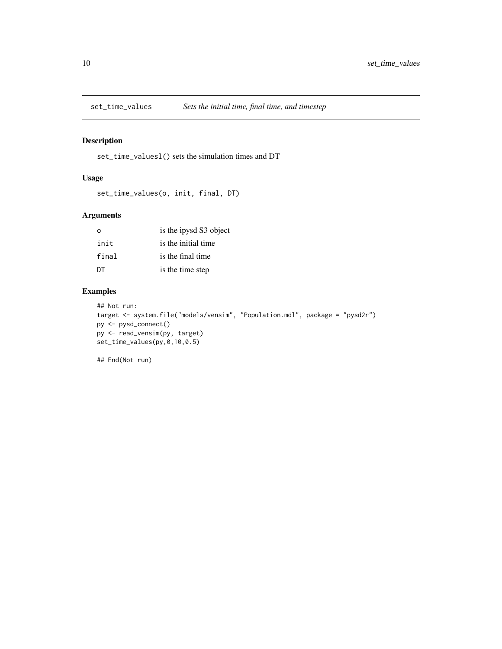<span id="page-9-0"></span>

# Description

set\_time\_valuesl() sets the simulation times and DT

# Usage

```
set_time_values(o, init, final, DT)
```
# Arguments

| $\Omega$ | is the ipysd S3 object |
|----------|------------------------|
| init     | is the initial time    |
| final    | is the final time      |
| DT       | is the time step       |

# Examples

```
## Not run:
target <- system.file("models/vensim", "Population.mdl", package = "pysd2r")
py <- pysd_connect()
py <- read_vensim(py, target)
set_time_values(py,0,10,0.5)
```
## End(Not run)